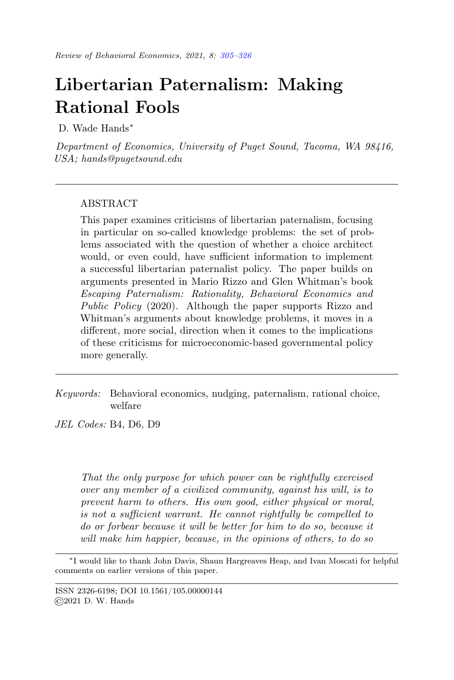# <span id="page-0-0"></span>Libertarian Paternalism: Making Rational Fools

D. Wade Hands<sup>∗</sup>

Department of Economics, University of Puget Sound, Tacoma, WA 98416, USA; hands@pugetsound.edu

# ABSTRACT

This paper examines criticisms of libertarian paternalism, focusing in particular on so-called knowledge problems: the set of problems associated with the question of whether a choice architect would, or even could, have sufficient information to implement a successful libertarian paternalist policy. The paper builds on arguments presented in Mario Rizzo and Glen Whitman's book Escaping Paternalism: Rationality, Behavioral Economics and Public Policy (2020). Although the paper supports Rizzo and Whitman's arguments about knowledge problems, it moves in a different, more social, direction when it comes to the implications of these criticisms for microeconomic-based governmental policy more generally.

Keywords: Behavioral economics, nudging, paternalism, rational choice, welfare

JEL Codes: B4, D6, D9

That the only purpose for which power can be rightfully exercised over any member of a civilized community, against his will, is to prevent harm to others. His own good, either physical or moral, is not a sufficient warrant. He cannot rightfully be compelled to do or forbear because it will be better for him to do so, because it will make him happier, because, in the opinions of others, to do so

<sup>∗</sup> I would like to thank John Davis, Shaun Hargreaves Heap, and Ivan Moscati for helpful comments on earlier versions of this paper.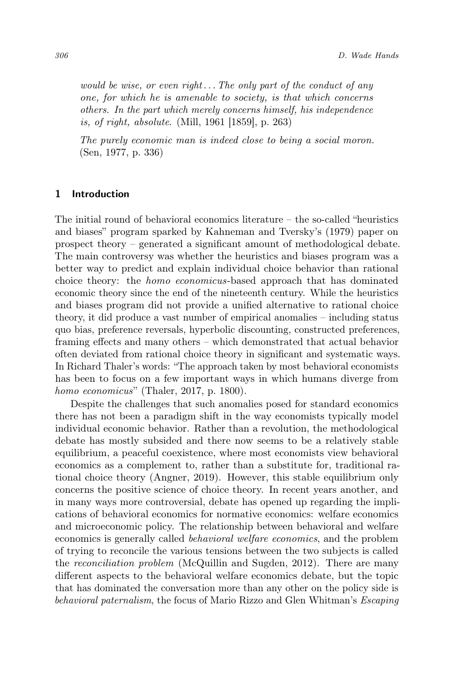would be wise, or even right... The only part of the conduct of any one, for which he is amenable to society, is that which concerns others. In the part which merely concerns himself, his independence is, of right, absolute. (Mill, 1961 [1859], p. 263)

The purely economic man is indeed close to being a social moron. (Sen, 1977, p. 336)

## 1 Introduction

The initial round of behavioral economics literature  $-$  the so-called "heuristics" and biases" program sparked by Kahneman and Tversky's (1979) paper on prospect theory – generated a significant amount of methodological debate. The main controversy was whether the heuristics and biases program was a better way to predict and explain individual choice behavior than rational choice theory: the homo economicus-based approach that has dominated economic theory since the end of the nineteenth century. While the heuristics and biases program did not provide a unified alternative to rational choice theory, it did produce a vast number of empirical anomalies – including status quo bias, preference reversals, hyperbolic discounting, constructed preferences, framing effects and many others – which demonstrated that actual behavior often deviated from rational choice theory in significant and systematic ways. In Richard Thaler's words: "The approach taken by most behavioral economists has been to focus on a few important ways in which humans diverge from homo economicus" (Thaler, 2017, p. 1800).

Despite the challenges that such anomalies posed for standard economics there has not been a paradigm shift in the way economists typically model individual economic behavior. Rather than a revolution, the methodological debate has mostly subsided and there now seems to be a relatively stable equilibrium, a peaceful coexistence, where most economists view behavioral economics as a complement to, rather than a substitute for, traditional rational choice theory (Angner, 2019). However, this stable equilibrium only concerns the positive science of choice theory. In recent years another, and in many ways more controversial, debate has opened up regarding the implications of behavioral economics for normative economics: welfare economics and microeconomic policy. The relationship between behavioral and welfare economics is generally called behavioral welfare economics, and the problem of trying to reconcile the various tensions between the two subjects is called the reconciliation problem (McQuillin and Sugden, 2012). There are many different aspects to the behavioral welfare economics debate, but the topic that has dominated the conversation more than any other on the policy side is behavioral paternalism, the focus of Mario Rizzo and Glen Whitman's Escaping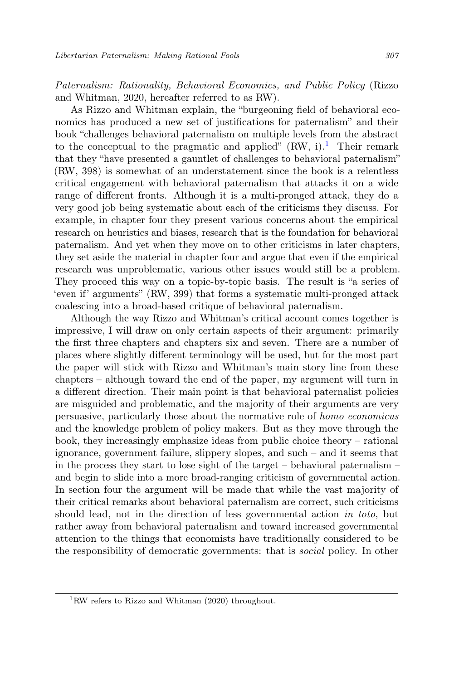Paternalism: Rationality, Behavioral Economics, and Public Policy (Rizzo and Whitman, 2020, hereafter referred to as RW).

As Rizzo and Whitman explain, the "burgeoning field of behavioral economics has produced a new set of justifications for paternalism" and their book "challenges behavioral paternalism on multiple levels from the abstract to the conceptual to the pragmatic and applied"  $(RW, i)$ .<sup>[1](#page-2-0)</sup> Their remark that they "have presented a gauntlet of challenges to behavioral paternalism" (RW, 398) is somewhat of an understatement since the book is a relentless critical engagement with behavioral paternalism that attacks it on a wide range of different fronts. Although it is a multi-pronged attack, they do a very good job being systematic about each of the criticisms they discuss. For example, in chapter four they present various concerns about the empirical research on heuristics and biases, research that is the foundation for behavioral paternalism. And yet when they move on to other criticisms in later chapters, they set aside the material in chapter four and argue that even if the empirical research was unproblematic, various other issues would still be a problem. They proceed this way on a topic-by-topic basis. The result is "a series of 'even if' arguments" (RW, 399) that forms a systematic multi-pronged attack coalescing into a broad-based critique of behavioral paternalism.

Although the way Rizzo and Whitman's critical account comes together is impressive, I will draw on only certain aspects of their argument: primarily the first three chapters and chapters six and seven. There are a number of places where slightly different terminology will be used, but for the most part the paper will stick with Rizzo and Whitman's main story line from these chapters – although toward the end of the paper, my argument will turn in a different direction. Their main point is that behavioral paternalist policies are misguided and problematic, and the majority of their arguments are very persuasive, particularly those about the normative role of homo economicus and the knowledge problem of policy makers. But as they move through the book, they increasingly emphasize ideas from public choice theory – rational ignorance, government failure, slippery slopes, and such – and it seems that in the process they start to lose sight of the target – behavioral paternalism – and begin to slide into a more broad-ranging criticism of governmental action. In section four the argument will be made that while the vast majority of their critical remarks about behavioral paternalism are correct, such criticisms should lead, not in the direction of less governmental action in toto, but rather away from behavioral paternalism and toward increased governmental attention to the things that economists have traditionally considered to be the responsibility of democratic governments: that is social policy. In other

<span id="page-2-0"></span><sup>&</sup>lt;sup>1</sup>RW refers to Rizzo and Whitman  $(2020)$  throughout.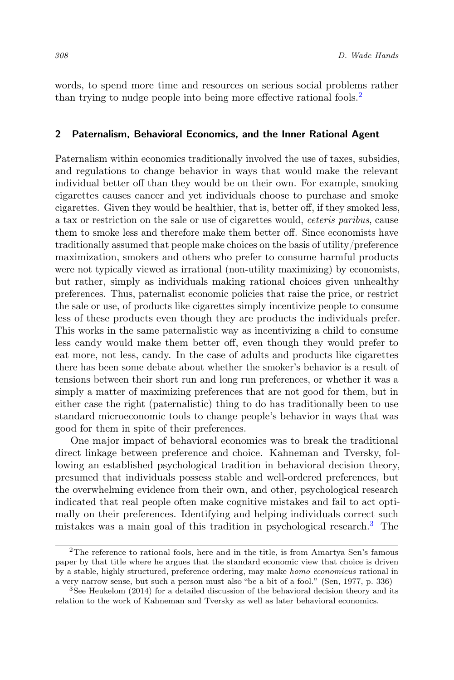words, to spend more time and resources on serious social problems rather than trying to nudge people into being more effective rational fools.<sup>[2](#page-3-0)</sup>

## 2 Paternalism, Behavioral Economics, and the Inner Rational Agent

Paternalism within economics traditionally involved the use of taxes, subsidies, and regulations to change behavior in ways that would make the relevant individual better off than they would be on their own. For example, smoking cigarettes causes cancer and yet individuals choose to purchase and smoke cigarettes. Given they would be healthier, that is, better off, if they smoked less, a tax or restriction on the sale or use of cigarettes would, ceteris paribus, cause them to smoke less and therefore make them better off. Since economists have traditionally assumed that people make choices on the basis of utility/preference maximization, smokers and others who prefer to consume harmful products were not typically viewed as irrational (non-utility maximizing) by economists, but rather, simply as individuals making rational choices given unhealthy preferences. Thus, paternalist economic policies that raise the price, or restrict the sale or use, of products like cigarettes simply incentivize people to consume less of these products even though they are products the individuals prefer. This works in the same paternalistic way as incentivizing a child to consume less candy would make them better off, even though they would prefer to eat more, not less, candy. In the case of adults and products like cigarettes there has been some debate about whether the smoker's behavior is a result of tensions between their short run and long run preferences, or whether it was a simply a matter of maximizing preferences that are not good for them, but in either case the right (paternalistic) thing to do has traditionally been to use standard microeconomic tools to change people's behavior in ways that was good for them in spite of their preferences.

One major impact of behavioral economics was to break the traditional direct linkage between preference and choice. Kahneman and Tversky, following an established psychological tradition in behavioral decision theory, presumed that individuals possess stable and well-ordered preferences, but the overwhelming evidence from their own, and other, psychological research indicated that real people often make cognitive mistakes and fail to act optimally on their preferences. Identifying and helping individuals correct such mistakes was a main goal of this tradition in psychological research.[3](#page-3-1) The

<span id="page-3-0"></span><sup>&</sup>lt;sup>2</sup>The reference to rational fools, here and in the title, is from Amartya Sen's famous paper by that title where he argues that the standard economic view that choice is driven by a stable, highly structured, preference ordering, may make homo economicus rational in a very narrow sense, but such a person must also "be a bit of a fool." (Sen, 1977, p. 336)

<span id="page-3-1"></span><sup>&</sup>lt;sup>3</sup>See Heukelom (2014) for a detailed discussion of the behavioral decision theory and its relation to the work of Kahneman and Tversky as well as later behavioral economics.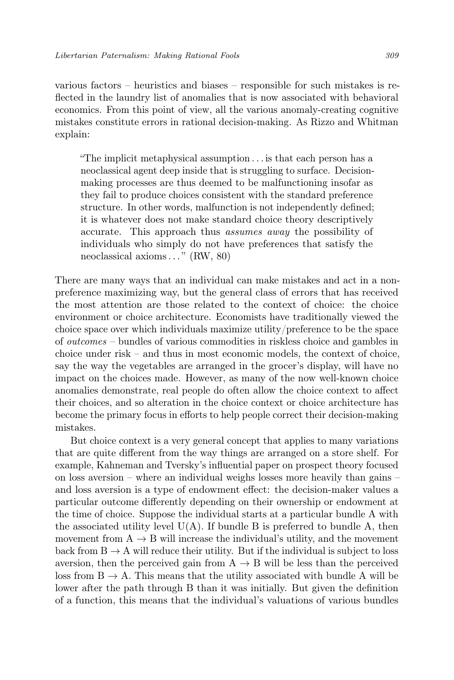various factors – heuristics and biases – responsible for such mistakes is reflected in the laundry list of anomalies that is now associated with behavioral economics. From this point of view, all the various anomaly-creating cognitive mistakes constitute errors in rational decision-making. As Rizzo and Whitman explain:

"The implicit metaphysical assumption . . . is that each person has a neoclassical agent deep inside that is struggling to surface. Decisionmaking processes are thus deemed to be malfunctioning insofar as they fail to produce choices consistent with the standard preference structure. In other words, malfunction is not independently defined; it is whatever does not make standard choice theory descriptively accurate. This approach thus assumes away the possibility of individuals who simply do not have preferences that satisfy the neoclassical axioms. . . " (RW, 80)

There are many ways that an individual can make mistakes and act in a nonpreference maximizing way, but the general class of errors that has received the most attention are those related to the context of choice: the choice environment or choice architecture. Economists have traditionally viewed the choice space over which individuals maximize utility/preference to be the space of outcomes – bundles of various commodities in riskless choice and gambles in choice under risk – and thus in most economic models, the context of choice, say the way the vegetables are arranged in the grocer's display, will have no impact on the choices made. However, as many of the now well-known choice anomalies demonstrate, real people do often allow the choice context to affect their choices, and so alteration in the choice context or choice architecture has become the primary focus in efforts to help people correct their decision-making mistakes.

But choice context is a very general concept that applies to many variations that are quite different from the way things are arranged on a store shelf. For example, Kahneman and Tversky's influential paper on prospect theory focused on loss aversion – where an individual weighs losses more heavily than gains – and loss aversion is a type of endowment effect: the decision-maker values a particular outcome differently depending on their ownership or endowment at the time of choice. Suppose the individual starts at a particular bundle A with the associated utility level  $U(A)$ . If bundle B is preferred to bundle A, then movement from  $A \rightarrow B$  will increase the individual's utility, and the movement back from  $B \to A$  will reduce their utility. But if the individual is subject to loss aversion, then the perceived gain from  $A \rightarrow B$  will be less than the perceived loss from  $B \to A$ . This means that the utility associated with bundle A will be lower after the path through B than it was initially. But given the definition of a function, this means that the individual's valuations of various bundles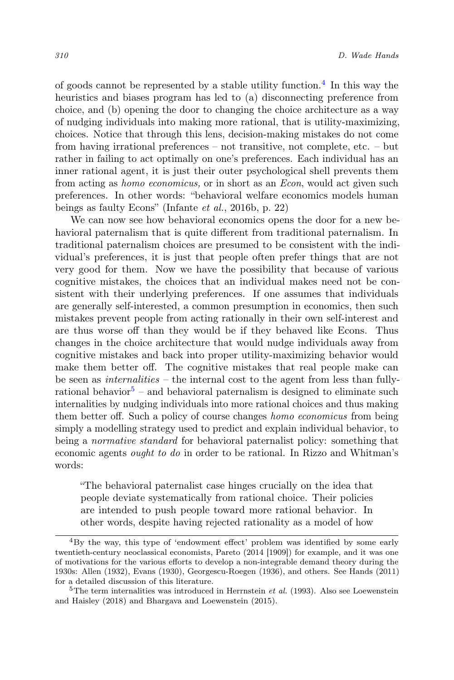of goods cannot be represented by a stable utility function.<sup>[4](#page-5-0)</sup> In this way the heuristics and biases program has led to (a) disconnecting preference from choice, and (b) opening the door to changing the choice architecture as a way of nudging individuals into making more rational, that is utility-maximizing, choices. Notice that through this lens, decision-making mistakes do not come from having irrational preferences – not transitive, not complete, etc. – but rather in failing to act optimally on one's preferences. Each individual has an inner rational agent, it is just their outer psychological shell prevents them from acting as homo economicus, or in short as an Econ, would act given such preferences. In other words: "behavioral welfare economics models human beings as faulty Econs" (Infante et al., 2016b, p. 22)

We can now see how behavioral economics opens the door for a new behavioral paternalism that is quite different from traditional paternalism. In traditional paternalism choices are presumed to be consistent with the individual's preferences, it is just that people often prefer things that are not very good for them. Now we have the possibility that because of various cognitive mistakes, the choices that an individual makes need not be consistent with their underlying preferences. If one assumes that individuals are generally self-interested, a common presumption in economics, then such mistakes prevent people from acting rationally in their own self-interest and are thus worse off than they would be if they behaved like Econs. Thus changes in the choice architecture that would nudge individuals away from cognitive mistakes and back into proper utility-maximizing behavior would make them better off. The cognitive mistakes that real people make can be seen as internalities – the internal cost to the agent from less than fully-rational behavior<sup>[5](#page-5-1)</sup> – and behavioral paternalism is designed to eliminate such internalities by nudging individuals into more rational choices and thus making them better off. Such a policy of course changes homo economicus from being simply a modelling strategy used to predict and explain individual behavior, to being a normative standard for behavioral paternalist policy: something that economic agents ought to do in order to be rational. In Rizzo and Whitman's words:

"The behavioral paternalist case hinges crucially on the idea that people deviate systematically from rational choice. Their policies are intended to push people toward more rational behavior. In other words, despite having rejected rationality as a model of how

<span id="page-5-0"></span><sup>4</sup>By the way, this type of 'endowment effect' problem was identified by some early twentieth-century neoclassical economists, Pareto (2014 [1909]) for example, and it was one of motivations for the various efforts to develop a non-integrable demand theory during the 1930s: Allen (1932), Evans (1930), Georgescu-Roegen (1936), and others. See Hands (2011) for a detailed discussion of this literature.

<span id="page-5-1"></span> ${}^{5}$ The term internalities was introduced in Herrnstein *et al.* (1993). Also see Loewenstein and Haisley (2018) and Bhargava and Loewenstein (2015).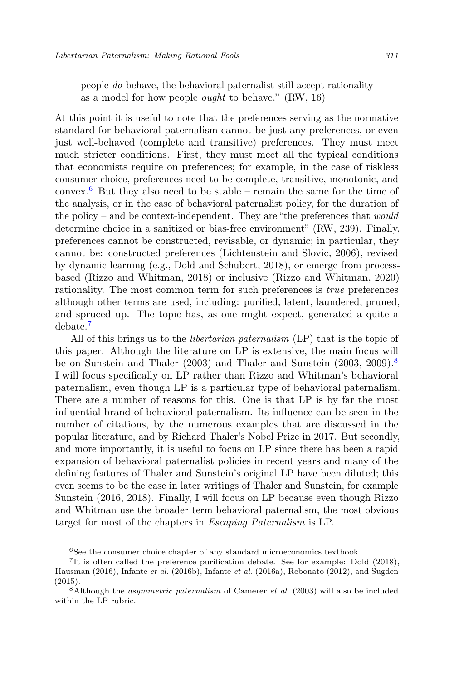people do behave, the behavioral paternalist still accept rationality as a model for how people ought to behave." (RW, 16)

At this point it is useful to note that the preferences serving as the normative standard for behavioral paternalism cannot be just any preferences, or even just well-behaved (complete and transitive) preferences. They must meet much stricter conditions. First, they must meet all the typical conditions that economists require on preferences; for example, in the case of riskless consumer choice, preferences need to be complete, transitive, monotonic, and convex.<sup>[6](#page-6-0)</sup> But they also need to be stable – remain the same for the time of the analysis, or in the case of behavioral paternalist policy, for the duration of the policy – and be context-independent. They are "the preferences that  $would$ determine choice in a sanitized or bias-free environment" (RW, 239). Finally, preferences cannot be constructed, revisable, or dynamic; in particular, they cannot be: constructed preferences (Lichtenstein and Slovic, 2006), revised by dynamic learning (e.g., Dold and Schubert, 2018), or emerge from processbased (Rizzo and Whitman, 2018) or inclusive (Rizzo and Whitman, 2020) rationality. The most common term for such preferences is true preferences although other terms are used, including: purified, latent, laundered, pruned, and spruced up. The topic has, as one might expect, generated a quite a debate.[7](#page-6-1)

All of this brings us to the libertarian paternalism (LP) that is the topic of this paper. Although the literature on LP is extensive, the main focus will be on Sunstein and Thaler (2003) and Thaler and Sunstein (2003, 2009).<sup>[8](#page-6-2)</sup> I will focus specifically on LP rather than Rizzo and Whitman's behavioral paternalism, even though LP is a particular type of behavioral paternalism. There are a number of reasons for this. One is that LP is by far the most influential brand of behavioral paternalism. Its influence can be seen in the number of citations, by the numerous examples that are discussed in the popular literature, and by Richard Thaler's Nobel Prize in 2017. But secondly, and more importantly, it is useful to focus on LP since there has been a rapid expansion of behavioral paternalist policies in recent years and many of the defining features of Thaler and Sunstein's original LP have been diluted; this even seems to be the case in later writings of Thaler and Sunstein, for example Sunstein (2016, 2018). Finally, I will focus on LP because even though Rizzo and Whitman use the broader term behavioral paternalism, the most obvious target for most of the chapters in Escaping Paternalism is LP.

<span id="page-6-1"></span><span id="page-6-0"></span><sup>6</sup>See the consumer choice chapter of any standard microeconomics textbook.

<sup>&</sup>lt;sup>7</sup>It is often called the preference purification debate. See for example: Dold (2018), Hausman (2016), Infante et al. (2016b), Infante et al. (2016a), Rebonato (2012), and Sugden (2015).

<span id="page-6-2"></span> $8$ Although the *asymmetric paternalism* of Camerer *et al.* (2003) will also be included within the LP rubric.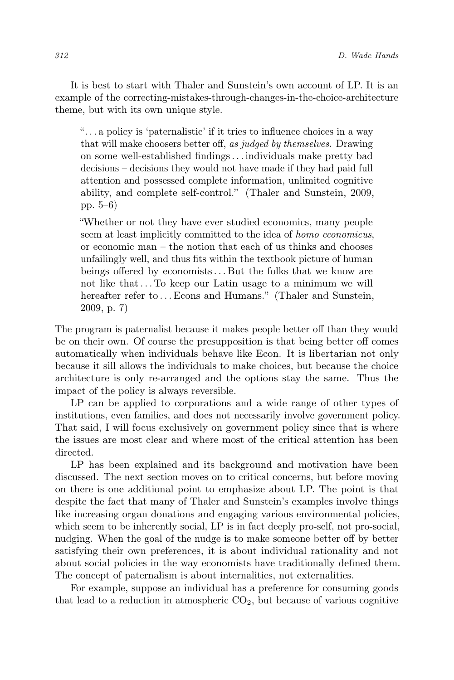It is best to start with Thaler and Sunstein's own account of LP. It is an example of the correcting-mistakes-through-changes-in-the-choice-architecture theme, but with its own unique style.

". . . a policy is 'paternalistic' if it tries to influence choices in a way that will make choosers better off, as judged by themselves. Drawing on some well-established findings. . . individuals make pretty bad decisions – decisions they would not have made if they had paid full attention and possessed complete information, unlimited cognitive ability, and complete self-control." (Thaler and Sunstein, 2009, pp. 5–6)

"Whether or not they have ever studied economics, many people seem at least implicitly committed to the idea of homo economicus, or economic man – the notion that each of us thinks and chooses unfailingly well, and thus fits within the textbook picture of human beings offered by economists. . . But the folks that we know are not like that. . . To keep our Latin usage to a minimum we will hereafter refer to ... Econs and Humans." (Thaler and Sunstein, 2009, p. 7)

The program is paternalist because it makes people better off than they would be on their own. Of course the presupposition is that being better off comes automatically when individuals behave like Econ. It is libertarian not only because it sill allows the individuals to make choices, but because the choice architecture is only re-arranged and the options stay the same. Thus the impact of the policy is always reversible.

LP can be applied to corporations and a wide range of other types of institutions, even families, and does not necessarily involve government policy. That said, I will focus exclusively on government policy since that is where the issues are most clear and where most of the critical attention has been directed.

LP has been explained and its background and motivation have been discussed. The next section moves on to critical concerns, but before moving on there is one additional point to emphasize about LP. The point is that despite the fact that many of Thaler and Sunstein's examples involve things like increasing organ donations and engaging various environmental policies, which seem to be inherently social, LP is in fact deeply pro-self, not pro-social, nudging. When the goal of the nudge is to make someone better off by better satisfying their own preferences, it is about individual rationality and not about social policies in the way economists have traditionally defined them. The concept of paternalism is about internalities, not externalities.

For example, suppose an individual has a preference for consuming goods that lead to a reduction in atmospheric  $CO<sub>2</sub>$ , but because of various cognitive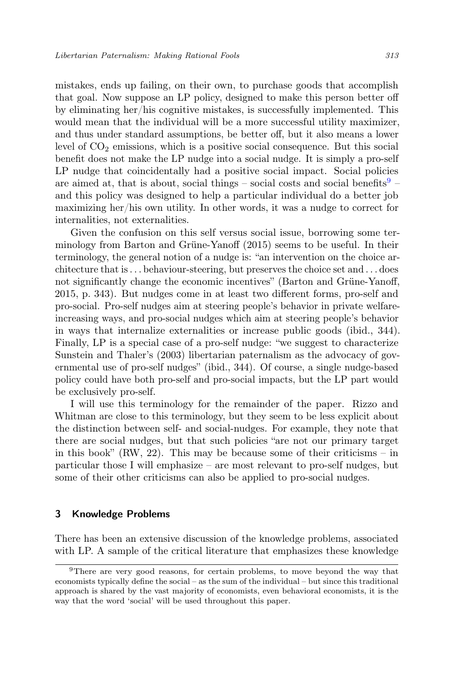mistakes, ends up failing, on their own, to purchase goods that accomplish that goal. Now suppose an LP policy, designed to make this person better off by eliminating her/his cognitive mistakes, is successfully implemented. This would mean that the individual will be a more successful utility maximizer, and thus under standard assumptions, be better off, but it also means a lower level of  $CO<sub>2</sub>$  emissions, which is a positive social consequence. But this social benefit does not make the LP nudge into a social nudge. It is simply a pro-self LP nudge that coincidentally had a positive social impact. Social policies are aimed at, that is about, social things – social costs and social benefits  $9 9$ and this policy was designed to help a particular individual do a better job maximizing her/his own utility. In other words, it was a nudge to correct for internalities, not externalities.

Given the confusion on this self versus social issue, borrowing some terminology from Barton and Grüne-Yanoff (2015) seems to be useful. In their terminology, the general notion of a nudge is: "an intervention on the choice architecture that is. . . behaviour-steering, but preserves the choice set and . . . does not significantly change the economic incentives" (Barton and Grüne-Yanoff, 2015, p. 343). But nudges come in at least two different forms, pro-self and pro-social. Pro-self nudges aim at steering people's behavior in private welfareincreasing ways, and pro-social nudges which aim at steering people's behavior in ways that internalize externalities or increase public goods (ibid., 344). Finally, LP is a special case of a pro-self nudge: "we suggest to characterize Sunstein and Thaler's (2003) libertarian paternalism as the advocacy of governmental use of pro-self nudges" (ibid., 344). Of course, a single nudge-based policy could have both pro-self and pro-social impacts, but the LP part would be exclusively pro-self.

I will use this terminology for the remainder of the paper. Rizzo and Whitman are close to this terminology, but they seem to be less explicit about the distinction between self- and social-nudges. For example, they note that there are social nudges, but that such policies "are not our primary target in this book" (RW, 22). This may be because some of their criticisms – in particular those I will emphasize – are most relevant to pro-self nudges, but some of their other criticisms can also be applied to pro-social nudges.

#### 3 Knowledge Problems

There has been an extensive discussion of the knowledge problems, associated with LP. A sample of the critical literature that emphasizes these knowledge

<span id="page-8-0"></span><sup>9</sup>There are very good reasons, for certain problems, to move beyond the way that economists typically define the social – as the sum of the individual – but since this traditional approach is shared by the vast majority of economists, even behavioral economists, it is the way that the word 'social' will be used throughout this paper.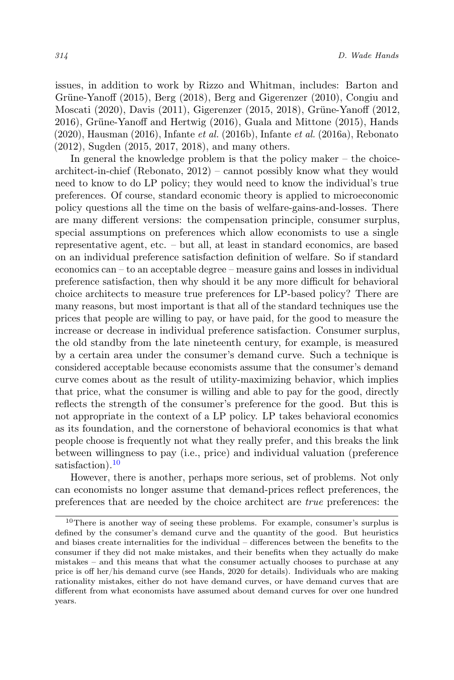issues, in addition to work by Rizzo and Whitman, includes: Barton and Grüne-Yanoff (2015), Berg (2018), Berg and Gigerenzer (2010), Congiu and Moscati (2020), Davis (2011), Gigerenzer (2015, 2018), Grüne-Yanoff (2012, 2016), Grüne-Yanoff and Hertwig (2016), Guala and Mittone (2015), Hands  $(2020)$ , Hausman  $(2016)$ , Infante *et al.*  $(2016b)$ , Infante *et al.*  $(2016a)$ , Rebonato (2012), Sugden (2015, 2017, 2018), and many others.

In general the knowledge problem is that the policy maker – the choicearchitect-in-chief (Rebonato, 2012) – cannot possibly know what they would need to know to do LP policy; they would need to know the individual's true preferences. Of course, standard economic theory is applied to microeconomic policy questions all the time on the basis of welfare-gains-and-losses. There are many different versions: the compensation principle, consumer surplus, special assumptions on preferences which allow economists to use a single representative agent, etc. – but all, at least in standard economics, are based on an individual preference satisfaction definition of welfare. So if standard economics can – to an acceptable degree – measure gains and losses in individual preference satisfaction, then why should it be any more difficult for behavioral choice architects to measure true preferences for LP-based policy? There are many reasons, but most important is that all of the standard techniques use the prices that people are willing to pay, or have paid, for the good to measure the increase or decrease in individual preference satisfaction. Consumer surplus, the old standby from the late nineteenth century, for example, is measured by a certain area under the consumer's demand curve. Such a technique is considered acceptable because economists assume that the consumer's demand curve comes about as the result of utility-maximizing behavior, which implies that price, what the consumer is willing and able to pay for the good, directly reflects the strength of the consumer's preference for the good. But this is not appropriate in the context of a LP policy. LP takes behavioral economics as its foundation, and the cornerstone of behavioral economics is that what people choose is frequently not what they really prefer, and this breaks the link between willingness to pay (i.e., price) and individual valuation (preference satisfaction).<sup>[10](#page-9-0)</sup>

However, there is another, perhaps more serious, set of problems. Not only can economists no longer assume that demand-prices reflect preferences, the preferences that are needed by the choice architect are true preferences: the

<span id="page-9-0"></span> $10$ There is another way of seeing these problems. For example, consumer's surplus is defined by the consumer's demand curve and the quantity of the good. But heuristics and biases create internalities for the individual – differences between the benefits to the consumer if they did not make mistakes, and their benefits when they actually do make mistakes – and this means that what the consumer actually chooses to purchase at any price is off her/his demand curve (see Hands, 2020 for details). Individuals who are making rationality mistakes, either do not have demand curves, or have demand curves that are different from what economists have assumed about demand curves for over one hundred years.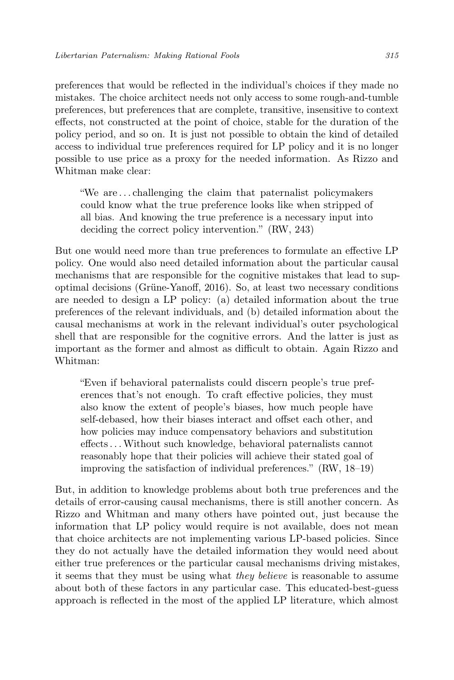preferences that would be reflected in the individual's choices if they made no mistakes. The choice architect needs not only access to some rough-and-tumble preferences, but preferences that are complete, transitive, insensitive to context effects, not constructed at the point of choice, stable for the duration of the policy period, and so on. It is just not possible to obtain the kind of detailed access to individual true preferences required for LP policy and it is no longer possible to use price as a proxy for the needed information. As Rizzo and Whitman make clear:

"We are . . . challenging the claim that paternalist policymakers could know what the true preference looks like when stripped of all bias. And knowing the true preference is a necessary input into deciding the correct policy intervention." (RW, 243)

But one would need more than true preferences to formulate an effective LP policy. One would also need detailed information about the particular causal mechanisms that are responsible for the cognitive mistakes that lead to supoptimal decisions (Grüne-Yanoff, 2016). So, at least two necessary conditions are needed to design a LP policy: (a) detailed information about the true preferences of the relevant individuals, and (b) detailed information about the causal mechanisms at work in the relevant individual's outer psychological shell that are responsible for the cognitive errors. And the latter is just as important as the former and almost as difficult to obtain. Again Rizzo and Whitman:

"Even if behavioral paternalists could discern people's true preferences that's not enough. To craft effective policies, they must also know the extent of people's biases, how much people have self-debased, how their biases interact and offset each other, and how policies may induce compensatory behaviors and substitution effects. . .Without such knowledge, behavioral paternalists cannot reasonably hope that their policies will achieve their stated goal of improving the satisfaction of individual preferences." (RW, 18–19)

But, in addition to knowledge problems about both true preferences and the details of error-causing causal mechanisms, there is still another concern. As Rizzo and Whitman and many others have pointed out, just because the information that LP policy would require is not available, does not mean that choice architects are not implementing various LP-based policies. Since they do not actually have the detailed information they would need about either true preferences or the particular causal mechanisms driving mistakes, it seems that they must be using what they believe is reasonable to assume about both of these factors in any particular case. This educated-best-guess approach is reflected in the most of the applied LP literature, which almost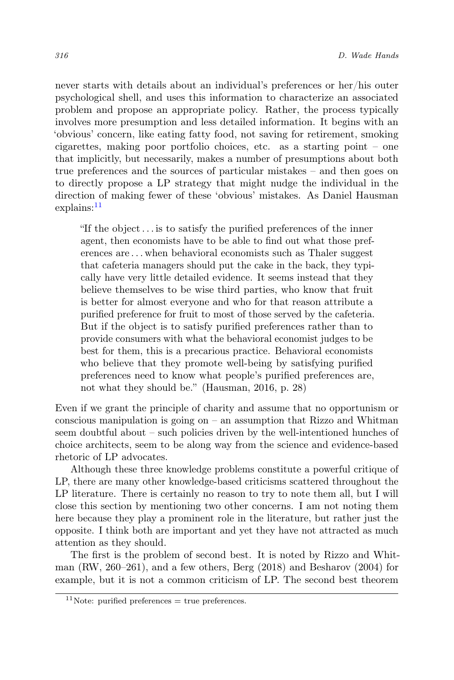never starts with details about an individual's preferences or her/his outer psychological shell, and uses this information to characterize an associated problem and propose an appropriate policy. Rather, the process typically involves more presumption and less detailed information. It begins with an 'obvious' concern, like eating fatty food, not saving for retirement, smoking cigarettes, making poor portfolio choices, etc. as a starting point – one that implicitly, but necessarily, makes a number of presumptions about both true preferences and the sources of particular mistakes – and then goes on to directly propose a LP strategy that might nudge the individual in the direction of making fewer of these 'obvious' mistakes. As Daniel Hausman  $explains:$ <sup>[11](#page-11-0)</sup>

"If the object. . . is to satisfy the purified preferences of the inner agent, then economists have to be able to find out what those preferences are . . . when behavioral economists such as Thaler suggest that cafeteria managers should put the cake in the back, they typically have very little detailed evidence. It seems instead that they believe themselves to be wise third parties, who know that fruit is better for almost everyone and who for that reason attribute a purified preference for fruit to most of those served by the cafeteria. But if the object is to satisfy purified preferences rather than to provide consumers with what the behavioral economist judges to be best for them, this is a precarious practice. Behavioral economists who believe that they promote well-being by satisfying purified preferences need to know what people's purified preferences are, not what they should be." (Hausman, 2016, p. 28)

Even if we grant the principle of charity and assume that no opportunism or conscious manipulation is going on  $-$  an assumption that Rizzo and Whitman seem doubtful about – such policies driven by the well-intentioned hunches of choice architects, seem to be along way from the science and evidence-based rhetoric of LP advocates.

Although these three knowledge problems constitute a powerful critique of LP, there are many other knowledge-based criticisms scattered throughout the LP literature. There is certainly no reason to try to note them all, but I will close this section by mentioning two other concerns. I am not noting them here because they play a prominent role in the literature, but rather just the opposite. I think both are important and yet they have not attracted as much attention as they should.

The first is the problem of second best. It is noted by Rizzo and Whitman (RW, 260–261), and a few others, Berg (2018) and Besharov (2004) for example, but it is not a common criticism of LP. The second best theorem

<span id="page-11-0"></span><sup>&</sup>lt;sup>11</sup>Note: purified preferences  $=$  true preferences.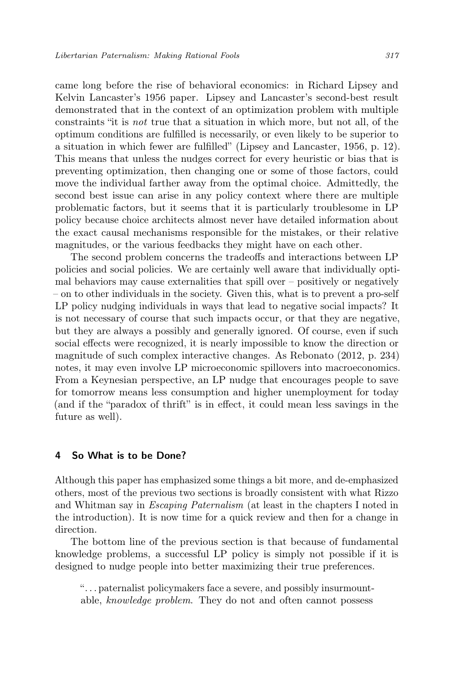came long before the rise of behavioral economics: in Richard Lipsey and Kelvin Lancaster's 1956 paper. Lipsey and Lancaster's second-best result demonstrated that in the context of an optimization problem with multiple constraints "it is not true that a situation in which more, but not all, of the optimum conditions are fulfilled is necessarily, or even likely to be superior to a situation in which fewer are fulfilled" (Lipsey and Lancaster, 1956, p. 12). This means that unless the nudges correct for every heuristic or bias that is preventing optimization, then changing one or some of those factors, could move the individual farther away from the optimal choice. Admittedly, the second best issue can arise in any policy context where there are multiple problematic factors, but it seems that it is particularly troublesome in LP policy because choice architects almost never have detailed information about the exact causal mechanisms responsible for the mistakes, or their relative magnitudes, or the various feedbacks they might have on each other.

The second problem concerns the tradeoffs and interactions between LP policies and social policies. We are certainly well aware that individually optimal behaviors may cause externalities that spill over – positively or negatively – on to other individuals in the society. Given this, what is to prevent a pro-self LP policy nudging individuals in ways that lead to negative social impacts? It is not necessary of course that such impacts occur, or that they are negative, but they are always a possibly and generally ignored. Of course, even if such social effects were recognized, it is nearly impossible to know the direction or magnitude of such complex interactive changes. As Rebonato (2012, p. 234) notes, it may even involve LP microeconomic spillovers into macroeconomics. From a Keynesian perspective, an LP nudge that encourages people to save for tomorrow means less consumption and higher unemployment for today (and if the "paradox of thrift" is in effect, it could mean less savings in the future as well).

### 4 So What is to be Done?

Although this paper has emphasized some things a bit more, and de-emphasized others, most of the previous two sections is broadly consistent with what Rizzo and Whitman say in Escaping Paternalism (at least in the chapters I noted in the introduction). It is now time for a quick review and then for a change in direction.

The bottom line of the previous section is that because of fundamental knowledge problems, a successful LP policy is simply not possible if it is designed to nudge people into better maximizing their true preferences.

". . . paternalist policymakers face a severe, and possibly insurmountable, knowledge problem. They do not and often cannot possess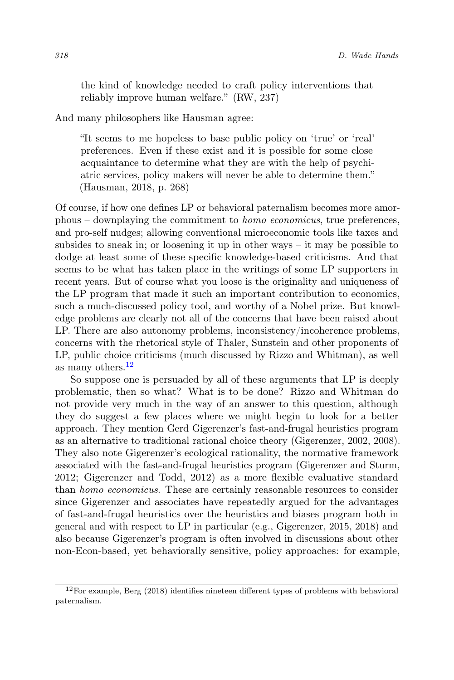the kind of knowledge needed to craft policy interventions that reliably improve human welfare." (RW, 237)

And many philosophers like Hausman agree:

"It seems to me hopeless to base public policy on 'true' or 'real' preferences. Even if these exist and it is possible for some close acquaintance to determine what they are with the help of psychiatric services, policy makers will never be able to determine them." (Hausman, 2018, p. 268)

Of course, if how one defines LP or behavioral paternalism becomes more amorphous – downplaying the commitment to homo economicus, true preferences, and pro-self nudges; allowing conventional microeconomic tools like taxes and subsides to sneak in; or loosening it up in other ways – it may be possible to dodge at least some of these specific knowledge-based criticisms. And that seems to be what has taken place in the writings of some LP supporters in recent years. But of course what you loose is the originality and uniqueness of the LP program that made it such an important contribution to economics, such a much-discussed policy tool, and worthy of a Nobel prize. But knowledge problems are clearly not all of the concerns that have been raised about LP. There are also autonomy problems, inconsistency/incoherence problems, concerns with the rhetorical style of Thaler, Sunstein and other proponents of LP, public choice criticisms (much discussed by Rizzo and Whitman), as well as many others.<sup>[12](#page-13-0)</sup>

So suppose one is persuaded by all of these arguments that LP is deeply problematic, then so what? What is to be done? Rizzo and Whitman do not provide very much in the way of an answer to this question, although they do suggest a few places where we might begin to look for a better approach. They mention Gerd Gigerenzer's fast-and-frugal heuristics program as an alternative to traditional rational choice theory (Gigerenzer, 2002, 2008). They also note Gigerenzer's ecological rationality, the normative framework associated with the fast-and-frugal heuristics program (Gigerenzer and Sturm, 2012; Gigerenzer and Todd, 2012) as a more flexible evaluative standard than homo economicus. These are certainly reasonable resources to consider since Gigerenzer and associates have repeatedly argued for the advantages of fast-and-frugal heuristics over the heuristics and biases program both in general and with respect to LP in particular (e.g., Gigerenzer, 2015, 2018) and also because Gigerenzer's program is often involved in discussions about other non-Econ-based, yet behaviorally sensitive, policy approaches: for example,

<span id="page-13-0"></span><sup>12</sup>For example, Berg (2018) identifies nineteen different types of problems with behavioral paternalism.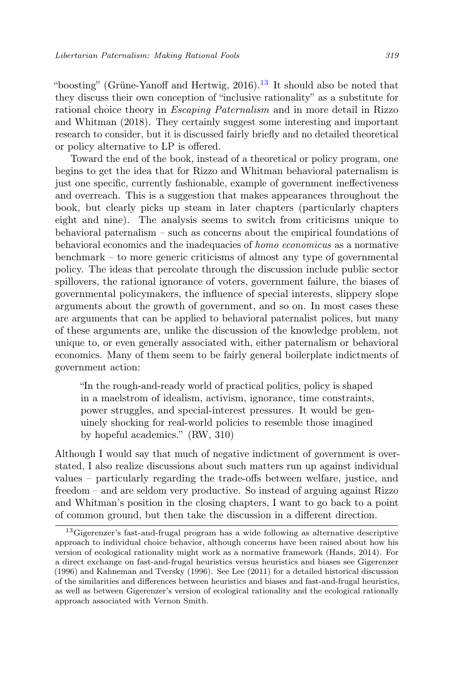"boosting" (Grüne-Yanoff and Hertwig,  $2016$ ).<sup>[13](#page-14-0)</sup> It should also be noted that they discuss their own conception of "inclusive rationality" as a substitute for rational choice theory in Escaping Paternalism and in more detail in Rizzo and Whitman (2018). They certainly suggest some interesting and important research to consider, but it is discussed fairly briefly and no detailed theoretical or policy alternative to LP is offered.

Toward the end of the book, instead of a theoretical or policy program, one begins to get the idea that for Rizzo and Whitman behavioral paternalism is just one specific, currently fashionable, example of government ineffectiveness and overreach. This is a suggestion that makes appearances throughout the book, but clearly picks up steam in later chapters (particularly chapters eight and nine). The analysis seems to switch from criticisms unique to behavioral paternalism – such as concerns about the empirical foundations of behavioral economics and the inadequacies of homo economicus as a normative benchmark – to more generic criticisms of almost any type of governmental policy. The ideas that percolate through the discussion include public sector spillovers, the rational ignorance of voters, government failure, the biases of governmental policymakers, the influence of special interests, slippery slope arguments about the growth of government, and so on. In most cases these are arguments that can be applied to behavioral paternalist polices, but many of these arguments are, unlike the discussion of the knowledge problem, not unique to, or even generally associated with, either paternalism or behavioral economics. Many of them seem to be fairly general boilerplate indictments of government action:

"In the rough-and-ready world of practical politics, policy is shaped in a maelstrom of idealism, activism, ignorance, time constraints, power struggles, and special-interest pressures. It would be genuinely shocking for real-world policies to resemble those imagined by hopeful academics." (RW, 310)

Although I would say that much of negative indictment of government is overstated, I also realize discussions about such matters run up against individual values – particularly regarding the trade-offs between welfare, justice, and freedom – and are seldom very productive. So instead of arguing against Rizzo and Whitman's position in the closing chapters, I want to go back to a point of common ground, but then take the discussion in a different direction.

<span id="page-14-0"></span><sup>&</sup>lt;sup>13</sup>Gigerenzer's fast-and-frugal program has a wide following as alternative descriptive approach to individual choice behavior, although concerns have been raised about how his version of ecological rationality might work as a normative framework (Hands, 2014). For a direct exchange on fast-and-frugal heuristics versus heuristics and biases see Gigerenzer (1996) and Kahneman and Tversky (1996). See Lee (2011) for a detailed historical discussion of the similarities and differences between heuristics and biases and fast-and-frugal heuristics, as well as between Gigerenzer's version of ecological rationality and the ecological rationally approach associated with Vernon Smith.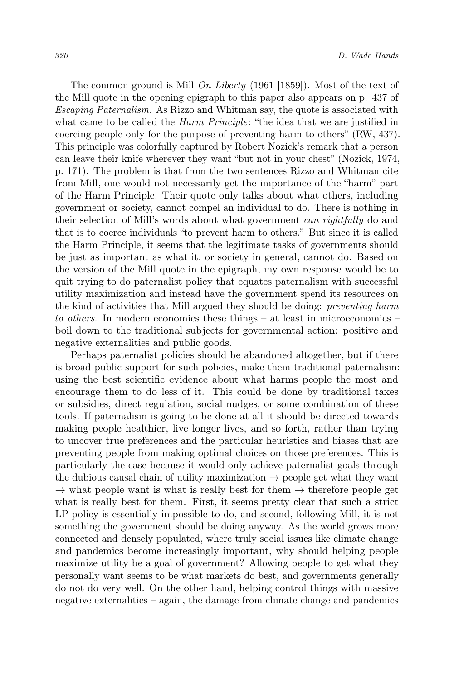The common ground is Mill  $\hat{O}n$  Liberty (1961 [1859]). Most of the text of the Mill quote in the opening epigraph to this paper also appears on p. 437 of Escaping Paternalism. As Rizzo and Whitman say, the quote is associated with what came to be called the *Harm Principle*: "the idea that we are justified in coercing people only for the purpose of preventing harm to others" (RW, 437). This principle was colorfully captured by Robert Nozick's remark that a person can leave their knife wherever they want "but not in your chest" (Nozick, 1974, p. 171). The problem is that from the two sentences Rizzo and Whitman cite from Mill, one would not necessarily get the importance of the "harm" part of the Harm Principle. Their quote only talks about what others, including government or society, cannot compel an individual to do. There is nothing in their selection of Mill's words about what government can rightfully do and that is to coerce individuals "to prevent harm to others." But since it is called the Harm Principle, it seems that the legitimate tasks of governments should be just as important as what it, or society in general, cannot do. Based on the version of the Mill quote in the epigraph, my own response would be to quit trying to do paternalist policy that equates paternalism with successful utility maximization and instead have the government spend its resources on the kind of activities that Mill argued they should be doing: preventing harm to others. In modern economics these things – at least in microeconomics – boil down to the traditional subjects for governmental action: positive and negative externalities and public goods.

Perhaps paternalist policies should be abandoned altogether, but if there is broad public support for such policies, make them traditional paternalism: using the best scientific evidence about what harms people the most and encourage them to do less of it. This could be done by traditional taxes or subsidies, direct regulation, social nudges, or some combination of these tools. If paternalism is going to be done at all it should be directed towards making people healthier, live longer lives, and so forth, rather than trying to uncover true preferences and the particular heuristics and biases that are preventing people from making optimal choices on those preferences. This is particularly the case because it would only achieve paternalist goals through the dubious causal chain of utility maximization  $\rightarrow$  people get what they want  $\rightarrow$  what people want is what is really best for them  $\rightarrow$  therefore people get what is really best for them. First, it seems pretty clear that such a strict LP policy is essentially impossible to do, and second, following Mill, it is not something the government should be doing anyway. As the world grows more connected and densely populated, where truly social issues like climate change and pandemics become increasingly important, why should helping people maximize utility be a goal of government? Allowing people to get what they personally want seems to be what markets do best, and governments generally do not do very well. On the other hand, helping control things with massive negative externalities – again, the damage from climate change and pandemics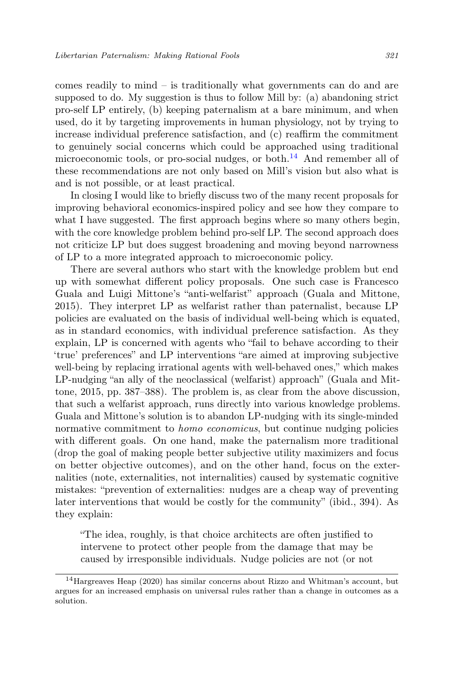comes readily to mind – is traditionally what governments can do and are supposed to do. My suggestion is thus to follow Mill by: (a) abandoning strict pro-self LP entirely, (b) keeping paternalism at a bare minimum, and when used, do it by targeting improvements in human physiology, not by trying to increase individual preference satisfaction, and (c) reaffirm the commitment to genuinely social concerns which could be approached using traditional microeconomic tools, or pro-social nudges, or both. $^{14}$  $^{14}$  $^{14}$  And remember all of these recommendations are not only based on Mill's vision but also what is and is not possible, or at least practical.

In closing I would like to briefly discuss two of the many recent proposals for improving behavioral economics-inspired policy and see how they compare to what I have suggested. The first approach begins where so many others begin, with the core knowledge problem behind pro-self LP. The second approach does not criticize LP but does suggest broadening and moving beyond narrowness of LP to a more integrated approach to microeconomic policy.

There are several authors who start with the knowledge problem but end up with somewhat different policy proposals. One such case is Francesco Guala and Luigi Mittone's "anti-welfarist" approach (Guala and Mittone, 2015). They interpret LP as welfarist rather than paternalist, because LP policies are evaluated on the basis of individual well-being which is equated, as in standard economics, with individual preference satisfaction. As they explain, LP is concerned with agents who "fail to behave according to their 'true' preferences" and LP interventions "are aimed at improving subjective well-being by replacing irrational agents with well-behaved ones," which makes LP-nudging "an ally of the neoclassical (welfarist) approach" (Guala and Mittone, 2015, pp. 387–388). The problem is, as clear from the above discussion, that such a welfarist approach, runs directly into various knowledge problems. Guala and Mittone's solution is to abandon LP-nudging with its single-minded normative commitment to *homo economicus*, but continue nudging policies with different goals. On one hand, make the paternalism more traditional (drop the goal of making people better subjective utility maximizers and focus on better objective outcomes), and on the other hand, focus on the externalities (note, externalities, not internalities) caused by systematic cognitive mistakes: "prevention of externalities: nudges are a cheap way of preventing later interventions that would be costly for the community" (ibid., 394). As they explain:

"The idea, roughly, is that choice architects are often justified to intervene to protect other people from the damage that may be caused by irresponsible individuals. Nudge policies are not (or not

<span id="page-16-0"></span><sup>14</sup>Hargreaves Heap (2020) has similar concerns about Rizzo and Whitman's account, but argues for an increased emphasis on universal rules rather than a change in outcomes as a solution.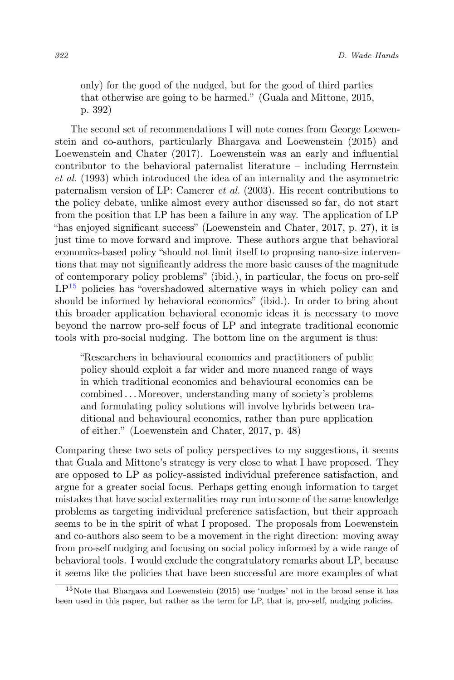only) for the good of the nudged, but for the good of third parties that otherwise are going to be harmed." (Guala and Mittone, 2015, p. 392)

The second set of recommendations I will note comes from George Loewenstein and co-authors, particularly Bhargava and Loewenstein (2015) and Loewenstein and Chater (2017). Loewenstein was an early and influential contributor to the behavioral paternalist literature – including Herrnstein et al. (1993) which introduced the idea of an internality and the asymmetric paternalism version of LP: Camerer et al. (2003). His recent contributions to the policy debate, unlike almost every author discussed so far, do not start from the position that LP has been a failure in any way. The application of LP "has enjoyed significant success" (Loewenstein and Chater, 2017, p. 27), it is just time to move forward and improve. These authors argue that behavioral economics-based policy "should not limit itself to proposing nano-size interventions that may not significantly address the more basic causes of the magnitude of contemporary policy problems" (ibid.), in particular, the focus on pro-self  $LP^{15}$  $LP^{15}$  $LP^{15}$  policies has "overshadowed alternative ways in which policy can and should be informed by behavioral economics" (ibid.). In order to bring about this broader application behavioral economic ideas it is necessary to move beyond the narrow pro-self focus of LP and integrate traditional economic tools with pro-social nudging. The bottom line on the argument is thus:

"Researchers in behavioural economics and practitioners of public policy should exploit a far wider and more nuanced range of ways in which traditional economics and behavioural economics can be combined . . . Moreover, understanding many of society's problems and formulating policy solutions will involve hybrids between traditional and behavioural economics, rather than pure application of either." (Loewenstein and Chater, 2017, p. 48)

Comparing these two sets of policy perspectives to my suggestions, it seems that Guala and Mittone's strategy is very close to what I have proposed. They are opposed to LP as policy-assisted individual preference satisfaction, and argue for a greater social focus. Perhaps getting enough information to target mistakes that have social externalities may run into some of the same knowledge problems as targeting individual preference satisfaction, but their approach seems to be in the spirit of what I proposed. The proposals from Loewenstein and co-authors also seem to be a movement in the right direction: moving away from pro-self nudging and focusing on social policy informed by a wide range of behavioral tools. I would exclude the congratulatory remarks about LP, because it seems like the policies that have been successful are more examples of what

<span id="page-17-0"></span><sup>15</sup>Note that Bhargava and Loewenstein (2015) use 'nudges' not in the broad sense it has been used in this paper, but rather as the term for LP, that is, pro-self, nudging policies.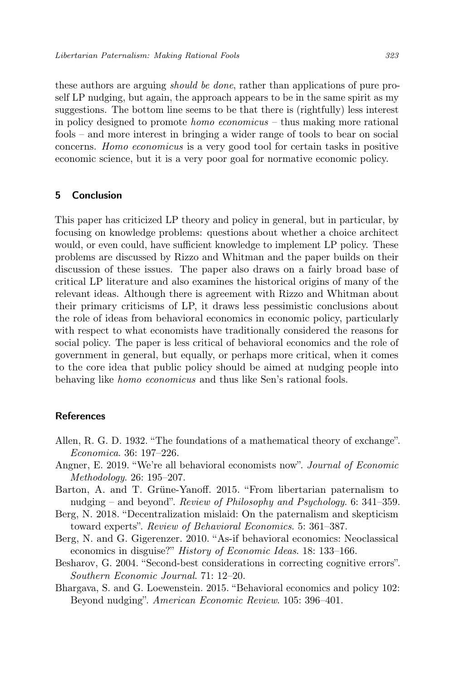these authors are arguing should be done, rather than applications of pure proself LP nudging, but again, the approach appears to be in the same spirit as my suggestions. The bottom line seems to be that there is (rightfully) less interest in policy designed to promote *homo economicus* – thus making more rational fools – and more interest in bringing a wider range of tools to bear on social concerns. Homo economicus is a very good tool for certain tasks in positive economic science, but it is a very poor goal for normative economic policy.

# 5 Conclusion

This paper has criticized LP theory and policy in general, but in particular, by focusing on knowledge problems: questions about whether a choice architect would, or even could, have sufficient knowledge to implement LP policy. These problems are discussed by Rizzo and Whitman and the paper builds on their discussion of these issues. The paper also draws on a fairly broad base of critical LP literature and also examines the historical origins of many of the relevant ideas. Although there is agreement with Rizzo and Whitman about their primary criticisms of LP, it draws less pessimistic conclusions about the role of ideas from behavioral economics in economic policy, particularly with respect to what economists have traditionally considered the reasons for social policy. The paper is less critical of behavioral economics and the role of government in general, but equally, or perhaps more critical, when it comes to the core idea that public policy should be aimed at nudging people into behaving like homo economicus and thus like Sen's rational fools.

# References

- Allen, R. G. D. 1932. "The foundations of a mathematical theory of exchange". Economica. 36: 197–226.
- Angner, E. 2019. "We're all behavioral economists now". Journal of Economic Methodology. 26: 195–207.
- Barton, A. and T. Grüne-Yanoff. 2015. "From libertarian paternalism to nudging – and beyond". Review of Philosophy and Psychology. 6: 341–359.
- Berg, N. 2018. "Decentralization mislaid: On the paternalism and skepticism toward experts". Review of Behavioral Economics. 5: 361–387.
- Berg, N. and G. Gigerenzer. 2010. "As-if behavioral economics: Neoclassical economics in disguise?" History of Economic Ideas. 18: 133–166.
- Besharov, G. 2004. "Second-best considerations in correcting cognitive errors". Southern Economic Journal. 71: 12–20.
- Bhargava, S. and G. Loewenstein. 2015. "Behavioral economics and policy 102: Beyond nudging". American Economic Review. 105: 396–401.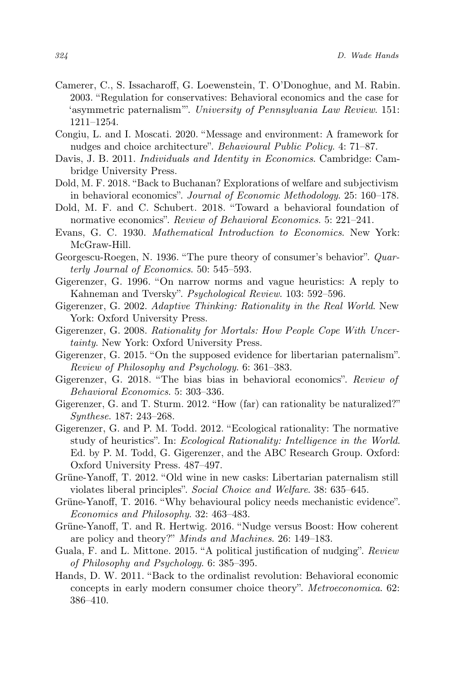- Camerer, C., S. Issacharoff, G. Loewenstein, T. O'Donoghue, and M. Rabin. 2003. "Regulation for conservatives: Behavioral economics and the case for 'asymmetric paternalism'". University of Pennsylvania Law Review. 151: 1211–1254.
- Congiu, L. and I. Moscati. 2020. "Message and environment: A framework for nudges and choice architecture". Behavioural Public Policy. 4: 71–87.
- Davis, J. B. 2011. Individuals and Identity in Economics. Cambridge: Cambridge University Press.
- Dold, M. F. 2018. "Back to Buchanan? Explorations of welfare and subjectivism in behavioral economics". Journal of Economic Methodology. 25: 160–178.
- Dold, M. F. and C. Schubert. 2018. "Toward a behavioral foundation of normative economics". Review of Behavioral Economics. 5: 221–241.
- Evans, G. C. 1930. Mathematical Introduction to Economics. New York: McGraw-Hill.
- Georgescu-Roegen, N. 1936. "The pure theory of consumer's behavior". Quarterly Journal of Economics. 50: 545–593.
- Gigerenzer, G. 1996. "On narrow norms and vague heuristics: A reply to Kahneman and Tversky". Psychological Review. 103: 592–596.
- Gigerenzer, G. 2002. Adaptive Thinking: Rationality in the Real World. New York: Oxford University Press.
- Gigerenzer, G. 2008. Rationality for Mortals: How People Cope With Uncertainty. New York: Oxford University Press.
- Gigerenzer, G. 2015. "On the supposed evidence for libertarian paternalism". Review of Philosophy and Psychology. 6: 361–383.
- Gigerenzer, G. 2018. "The bias bias in behavioral economics". Review of Behavioral Economics. 5: 303–336.
- Gigerenzer, G. and T. Sturm. 2012. "How (far) can rationality be naturalized?" Synthese. 187: 243–268.
- Gigerenzer, G. and P. M. Todd. 2012. "Ecological rationality: The normative study of heuristics". In: Ecological Rationality: Intelligence in the World. Ed. by P. M. Todd, G. Gigerenzer, and the ABC Research Group. Oxford: Oxford University Press. 487–497.
- Grüne-Yanoff, T. 2012. "Old wine in new casks: Libertarian paternalism still violates liberal principles". Social Choice and Welfare. 38: 635–645.
- Grüne-Yanoff, T. 2016. "Why behavioural policy needs mechanistic evidence". Economics and Philosophy. 32: 463–483.
- Grüne-Yanoff, T. and R. Hertwig. 2016. "Nudge versus Boost: How coherent are policy and theory?" Minds and Machines. 26: 149–183.
- Guala, F. and L. Mittone. 2015. "A political justification of nudging". Review of Philosophy and Psychology. 6: 385–395.
- Hands, D. W. 2011. "Back to the ordinalist revolution: Behavioral economic concepts in early modern consumer choice theory". Metroeconomica. 62: 386–410.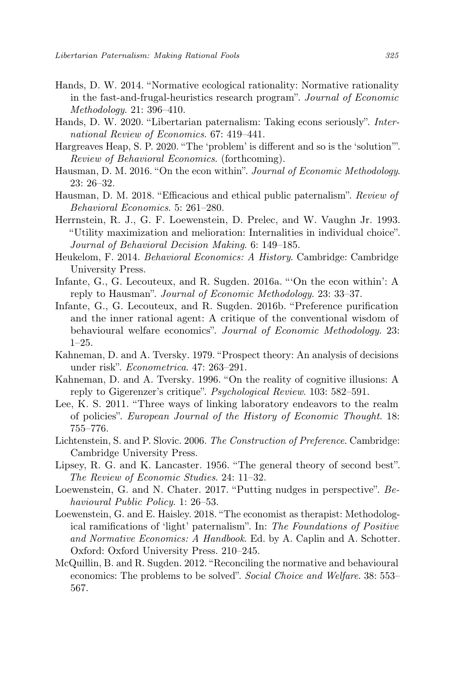- Hands, D. W. 2014. "Normative ecological rationality: Normative rationality in the fast-and-frugal-heuristics research program". Journal of Economic Methodology. 21: 396–410.
- Hands, D. W. 2020. "Libertarian paternalism: Taking econs seriously". International Review of Economics. 67: 419–441.
- Hargreaves Heap, S. P. 2020. "The 'problem' is different and so is the 'solution'". Review of Behavioral Economics. (forthcoming).
- Hausman, D. M. 2016. "On the econ within". Journal of Economic Methodology. 23: 26–32.
- Hausman, D. M. 2018. "Efficacious and ethical public paternalism". Review of Behavioral Economics. 5: 261–280.
- Herrnstein, R. J., G. F. Loewenstein, D. Prelec, and W. Vaughn Jr. 1993. "Utility maximization and melioration: Internalities in individual choice". Journal of Behavioral Decision Making. 6: 149–185.
- Heukelom, F. 2014. Behavioral Economics: A History. Cambridge: Cambridge University Press.
- Infante, G., G. Lecouteux, and R. Sugden. 2016a. "'On the econ within': A reply to Hausman". Journal of Economic Methodology. 23: 33–37.
- Infante, G., G. Lecouteux, and R. Sugden. 2016b. "Preference purification and the inner rational agent: A critique of the conventional wisdom of behavioural welfare economics". Journal of Economic Methodology. 23:  $1-25.$
- Kahneman, D. and A. Tversky. 1979. "Prospect theory: An analysis of decisions under risk". Econometrica. 47: 263–291.
- Kahneman, D. and A. Tversky. 1996. "On the reality of cognitive illusions: A reply to Gigerenzer's critique". Psychological Review. 103: 582–591.
- Lee, K. S. 2011. "Three ways of linking laboratory endeavors to the realm of policies". European Journal of the History of Economic Thought. 18: 755–776.
- Lichtenstein, S. and P. Slovic. 2006. The Construction of Preference. Cambridge: Cambridge University Press.
- Lipsey, R. G. and K. Lancaster. 1956. "The general theory of second best". The Review of Economic Studies. 24: 11–32.
- Loewenstein, G. and N. Chater. 2017. "Putting nudges in perspective". Behavioural Public Policy. 1: 26–53.
- Loewenstein, G. and E. Haisley. 2018. "The economist as therapist: Methodological ramifications of 'light' paternalism". In: The Foundations of Positive and Normative Economics: A Handbook. Ed. by A. Caplin and A. Schotter. Oxford: Oxford University Press. 210–245.
- McQuillin, B. and R. Sugden. 2012. "Reconciling the normative and behavioural economics: The problems to be solved". Social Choice and Welfare. 38: 553– 567.